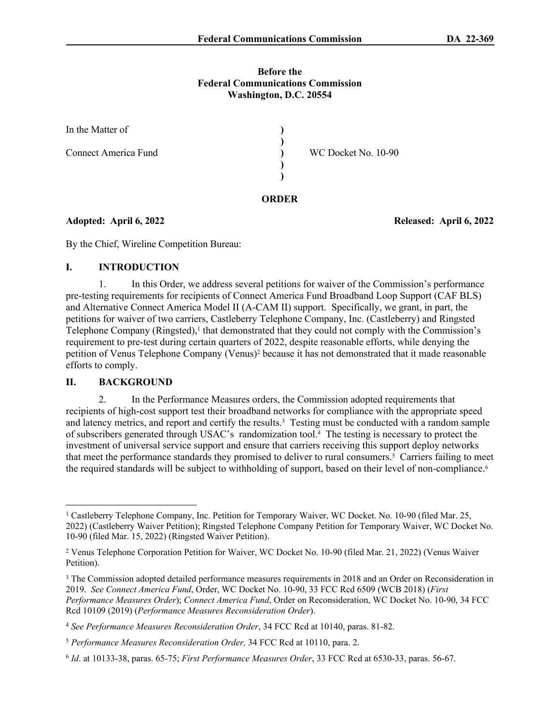#### **Before the Federal Communications Commission Washington, D.C. 20554**

**ORDER**

| In the Matter of     |                     |  |
|----------------------|---------------------|--|
| Connect America Fund | WC Docket No. 10-90 |  |
|                      |                     |  |
|                      |                     |  |

**Adopted: April 6, 2022 Released: April 6, 2022**

By the Chief, Wireline Competition Bureau:

## **I. INTRODUCTION**

1. In this Order, we address several petitions for waiver of the Commission's performance pre-testing requirements for recipients of Connect America Fund Broadband Loop Support (CAF BLS) and Alternative Connect America Model II (A-CAM II) support. Specifically, we grant, in part, the petitions for waiver of two carriers, Castleberry Telephone Company, Inc. (Castleberry) and Ringsted Telephone Company (Ringsted),<sup>1</sup> that demonstrated that they could not comply with the Commission's requirement to pre-test during certain quarters of 2022, despite reasonable efforts, while denying the petition of Venus Telephone Company (Venus)<sup>2</sup> because it has not demonstrated that it made reasonable efforts to comply.

## **II. BACKGROUND**

2. In the Performance Measures orders, the Commission adopted requirements that recipients of high-cost support test their broadband networks for compliance with the appropriate speed and latency metrics, and report and certify the results.<sup>3</sup> Testing must be conducted with a random sample of subscribers generated through USAC's randomization tool.<sup>4</sup> The testing is necessary to protect the investment of universal service support and ensure that carriers receiving this support deploy networks that meet the performance standards they promised to deliver to rural consumers.<sup>5</sup> Carriers failing to meet the required standards will be subject to withholding of support, based on their level of non-compliance.<sup>6</sup>

<sup>&</sup>lt;sup>1</sup> Castleberry Telephone Company, Inc. Petition for Temporary Waiver, WC Docket. No. 10-90 (filed Mar. 25, 2022) (Castleberry Waiver Petition); Ringsted Telephone Company Petition for Temporary Waiver, WC Docket No. 10-90 (filed Mar. 15, 2022) (Ringsted Waiver Petition).

<sup>&</sup>lt;sup>2</sup> Venus Telephone Corporation Petition for Waiver, WC Docket No. 10-90 (filed Mar. 21, 2022) (Venus Waiver Petition).

<sup>&</sup>lt;sup>3</sup> The Commission adopted detailed performance measures requirements in 2018 and an Order on Reconsideration in 2019. *See Connect America Fund*, Order, WC Docket No. 10-90, 33 FCC Rcd 6509 (WCB 2018) (*First Performance Measures Order*); *Connect America Fund*, Order on Reconsideration, WC Docket No. 10-90, 34 FCC Rcd 10109 (2019) (*Performance Measures Reconsideration Order*).

<sup>4</sup> *See Performance Measures Reconsideration Order*, 34 FCC Rcd at 10140, paras. 81-82.

<sup>5</sup> *Performance Measures Reconsideration Order,* 34 FCC Rcd at 10110, para. 2.

<sup>6</sup> *Id*. at 10133-38, paras. 65-75; *First Performance Measures Order*, 33 FCC Rcd at 6530-33, paras. 56-67.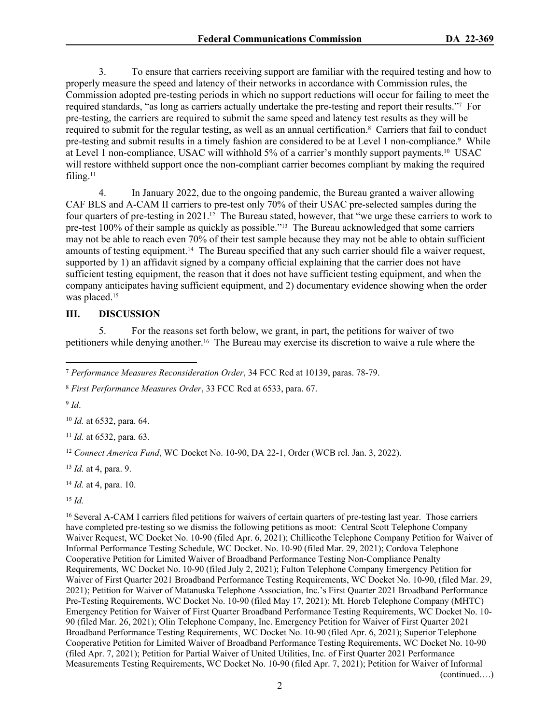3. To ensure that carriers receiving support are familiar with the required testing and how to properly measure the speed and latency of their networks in accordance with Commission rules, the Commission adopted pre-testing periods in which no support reductions will occur for failing to meet the required standards, "as long as carriers actually undertake the pre-testing and report their results."<sup>7</sup> For pre-testing, the carriers are required to submit the same speed and latency test results as they will be required to submit for the regular testing, as well as an annual certification.<sup>8</sup> Carriers that fail to conduct pre-testing and submit results in a timely fashion are considered to be at Level 1 non-compliance.<sup>9</sup> While at Level 1 non-compliance, USAC will withhold 5% of a carrier's monthly support payments.10 USAC will restore withheld support once the non-compliant carrier becomes compliant by making the required filing.<sup>11</sup>

4. In January 2022, due to the ongoing pandemic, the Bureau granted a waiver allowing CAF BLS and A-CAM II carriers to pre-test only 70% of their USAC pre-selected samples during the four quarters of pre-testing in 2021.12 The Bureau stated, however, that "we urge these carriers to work to pre-test 100% of their sample as quickly as possible."13 The Bureau acknowledged that some carriers may not be able to reach even 70% of their test sample because they may not be able to obtain sufficient amounts of testing equipment.14 The Bureau specified that any such carrier should file a waiver request, supported by 1) an affidavit signed by a company official explaining that the carrier does not have sufficient testing equipment, the reason that it does not have sufficient testing equipment, and when the company anticipates having sufficient equipment, and 2) documentary evidence showing when the order was placed.<sup>15</sup>

### **III. DISCUSSION**

5. For the reasons set forth below, we grant, in part, the petitions for waiver of two petitioners while denying another.16 The Bureau may exercise its discretion to waive a rule where the

<sup>8</sup> *First Performance Measures Order*, 33 FCC Rcd at 6533, para. 67.

9 *Id*.

<sup>10</sup> *Id.* at 6532, para. 64.

<sup>11</sup> *Id.* at 6532, para. 63.

<sup>12</sup> Connect America Fund, WC Docket No. 10-90, DA 22-1, Order (WCB rel. Jan. 3, 2022).

<sup>13</sup> *Id.* at 4, para. 9.

<sup>14</sup> *Id.* at 4, para. 10.

<sup>15</sup> *Id.*

<sup>16</sup> Several A-CAM I carriers filed petitions for waivers of certain quarters of pre-testing last year. Those carriers have completed pre-testing so we dismiss the following petitions as moot: Central Scott Telephone Company Waiver Request, WC Docket No. 10-90 (filed Apr. 6, 2021); Chillicothe Telephone Company Petition for Waiver of Informal Performance Testing Schedule, WC Docket. No. 10-90 (filed Mar. 29, 2021); Cordova Telephone Cooperative Petition for Limited Waiver of Broadband Performance Testing Non-Compliance Penalty Requirements*,* WC Docket No. 10-90 (filed July 2, 2021); Fulton Telephone Company Emergency Petition for Waiver of First Quarter 2021 Broadband Performance Testing Requirements, WC Docket No. 10-90, (filed Mar. 29, 2021); Petition for Waiver of Matanuska Telephone Association, Inc.'s First Quarter 2021 Broadband Performance Pre-Testing Requirements, WC Docket No. 10-90 (filed May 17, 2021); Mt. Horeb Telephone Company (MHTC) Emergency Petition for Waiver of First Quarter Broadband Performance Testing Requirements, WC Docket No. 10- 90 (filed Mar. 26, 2021); Olin Telephone Company, Inc. Emergency Petition for Waiver of First Quarter 2021 Broadband Performance Testing Requirements¸ WC Docket No. 10-90 (filed Apr. 6, 2021); Superior Telephone Cooperative Petition for Limited Waiver of Broadband Performance Testing Requirements, WC Docket No. 10-90 (filed Apr. 7, 2021); Petition for Partial Waiver of United Utilities, Inc. of First Quarter 2021 Performance Measurements Testing Requirements, WC Docket No. 10-90 (filed Apr. 7, 2021); Petition for Waiver of Informal (continued….)

<sup>7</sup> *Performance Measures Reconsideration Order*, 34 FCC Rcd at 10139, paras. 78-79.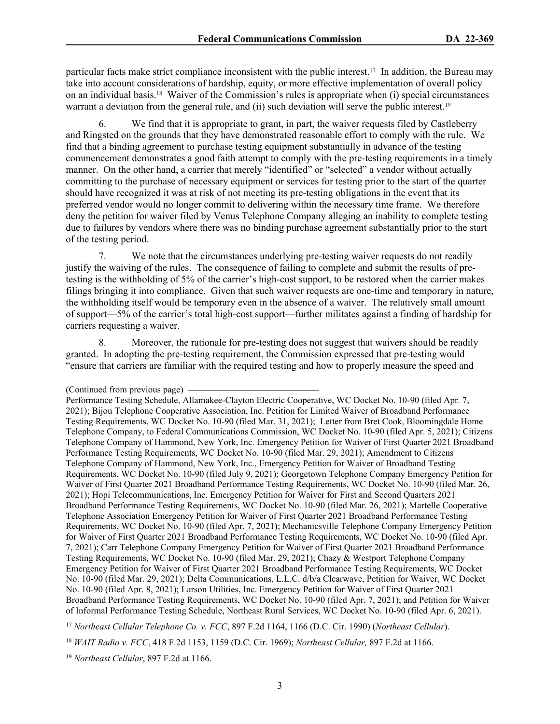particular facts make strict compliance inconsistent with the public interest.17 In addition, the Bureau may take into account considerations of hardship, equity, or more effective implementation of overall policy on an individual basis.18 Waiver of the Commission's rules is appropriate when (i) special circumstances warrant a deviation from the general rule, and (ii) such deviation will serve the public interest.<sup>19</sup>

6. We find that it is appropriate to grant, in part, the waiver requests filed by Castleberry and Ringsted on the grounds that they have demonstrated reasonable effort to comply with the rule. We find that a binding agreement to purchase testing equipment substantially in advance of the testing commencement demonstrates a good faith attempt to comply with the pre-testing requirements in a timely manner. On the other hand, a carrier that merely "identified" or "selected" a vendor without actually committing to the purchase of necessary equipment or services for testing prior to the start of the quarter should have recognized it was at risk of not meeting its pre-testing obligations in the event that its preferred vendor would no longer commit to delivering within the necessary time frame. We therefore deny the petition for waiver filed by Venus Telephone Company alleging an inability to complete testing due to failures by vendors where there was no binding purchase agreement substantially prior to the start of the testing period.

7. We note that the circumstances underlying pre-testing waiver requests do not readily justify the waiving of the rules. The consequence of failing to complete and submit the results of pretesting is the withholding of 5% of the carrier's high-cost support, to be restored when the carrier makes filings bringing it into compliance. Given that such waiver requests are one-time and temporary in nature, the withholding itself would be temporary even in the absence of a waiver. The relatively small amount of support—5% of the carrier's total high-cost support—further militates against a finding of hardship for carriers requesting a waiver.

8. Moreover, the rationale for pre-testing does not suggest that waivers should be readily granted. In adopting the pre-testing requirement, the Commission expressed that pre-testing would "ensure that carriers are familiar with the required testing and how to properly measure the speed and

<sup>17</sup> *Northeast Cellular Telephone Co. v. FCC*, 897 F.2d 1164, 1166 (D.C. Cir. 1990) (*Northeast Cellular*).

<sup>19</sup> *Northeast Cellular*, 897 F.2d at 1166.

<sup>(</sup>Continued from previous page)

Performance Testing Schedule, Allamakee-Clayton Electric Cooperative, WC Docket No. 10-90 (filed Apr. 7, 2021); Bijou Telephone Cooperative Association, Inc. Petition for Limited Waiver of Broadband Performance Testing Requirements, WC Docket No. 10-90 (filed Mar. 31, 2021); Letter from Bret Cook, Bloomingdale Home Telephone Company, to Federal Communications Commission, WC Docket No. 10-90 (filed Apr. 5, 2021); Citizens Telephone Company of Hammond, New York, Inc. Emergency Petition for Waiver of First Quarter 2021 Broadband Performance Testing Requirements, WC Docket No. 10-90 (filed Mar. 29, 2021); Amendment to Citizens Telephone Company of Hammond, New York, Inc., Emergency Petition for Waiver of Broadband Testing Requirements, WC Docket No. 10-90 (filed July 9, 2021); Georgetown Telephone Company Emergency Petition for Waiver of First Quarter 2021 Broadband Performance Testing Requirements, WC Docket No. 10-90 (filed Mar. 26, 2021); Hopi Telecommunications, Inc. Emergency Petition for Waiver for First and Second Quarters 2021 Broadband Performance Testing Requirements, WC Docket No. 10-90 (filed Mar. 26, 2021); Martelle Cooperative Telephone Association Emergency Petition for Waiver of First Quarter 2021 Broadband Performance Testing Requirements, WC Docket No. 10-90 (filed Apr. 7, 2021); Mechanicsville Telephone Company Emergency Petition for Waiver of First Quarter 2021 Broadband Performance Testing Requirements, WC Docket No. 10-90 (filed Apr. 7, 2021); Carr Telephone Company Emergency Petition for Waiver of First Quarter 2021 Broadband Performance Testing Requirements, WC Docket No. 10-90 (filed Mar. 29, 2021); Chazy & Westport Telephone Company Emergency Petition for Waiver of First Quarter 2021 Broadband Performance Testing Requirements, WC Docket No. 10-90 (filed Mar. 29, 2021); Delta Communications, L.L.C. d/b/a Clearwave, Petition for Waiver, WC Docket No. 10-90 (filed Apr. 8, 2021); Larson Utilities, Inc. Emergency Petition for Waiver of First Quarter 2021 Broadband Performance Testing Requirements, WC Docket No. 10-90 (filed Apr. 7, 2021); and Petition for Waiver of Informal Performance Testing Schedule, Northeast Rural Services, WC Docket No. 10-90 (filed Apr. 6, 2021).

<sup>18</sup> *WAIT Radio v. FCC*, 418 F.2d 1153, 1159 (D.C. Cir. 1969); *Northeast Cellular,* 897 F.2d at 1166.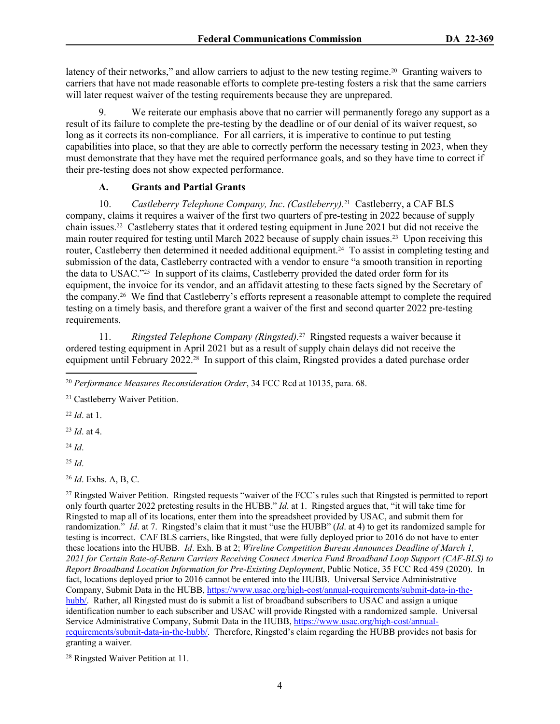latency of their networks," and allow carriers to adjust to the new testing regime.<sup>20</sup> Granting waivers to carriers that have not made reasonable efforts to complete pre-testing fosters a risk that the same carriers will later request waiver of the testing requirements because they are unprepared.

9. We reiterate our emphasis above that no carrier will permanently forego any support as a result of its failure to complete the pre-testing by the deadline or of our denial of its waiver request, so long as it corrects its non-compliance. For all carriers, it is imperative to continue to put testing capabilities into place, so that they are able to correctly perform the necessary testing in 2023, when they must demonstrate that they have met the required performance goals, and so they have time to correct if their pre-testing does not show expected performance.

# **A. Grants and Partial Grants**

10. *Castleberry Telephone Company, Inc*. *(Castleberry).*21 Castleberry, a CAF BLS company, claims it requires a waiver of the first two quarters of pre-testing in 2022 because of supply chain issues.22 Castleberry states that it ordered testing equipment in June 2021 but did not receive the main router required for testing until March 2022 because of supply chain issues.23 Upon receiving this router, Castleberry then determined it needed additional equipment.24 To assist in completing testing and submission of the data, Castleberry contracted with a vendor to ensure "a smooth transition in reporting the data to USAC."25 In support of its claims, Castleberry provided the dated order form for its equipment, the invoice for its vendor, and an affidavit attesting to these facts signed by the Secretary of the company.26 We find that Castleberry's efforts represent a reasonable attempt to complete the required testing on a timely basis, and therefore grant a waiver of the first and second quarter 2022 pre-testing requirements.

11. Ringsted Telephone Company (Ringsted).<sup>27</sup> Ringsted requests a waiver because it ordered testing equipment in April 2021 but as a result of supply chain delays did not receive the equipment until February 2022.28 In support of this claim, Ringsted provides a dated purchase order

<sup>22</sup> *Id*. at 1.

<sup>23</sup> *Id*. at 4.

<sup>24</sup> *Id*.

<sup>25</sup> *Id*.

<sup>26</sup> *Id*. Exhs. A, B, C.

<sup>27</sup> Ringsted Waiver Petition. Ringsted requests "waiver of the FCC's rules such that Ringsted is permitted to report only fourth quarter 2022 pretesting results in the HUBB." *Id*. at 1. Ringsted argues that, "it will take time for Ringsted to map all of its locations, enter them into the spreadsheet provided by USAC, and submit them for randomization." *Id.* at 7. Ringsted's claim that it must "use the HUBB" (*Id.* at 4) to get its randomized sample for testing is incorrect. CAF BLS carriers, like Ringsted, that were fully deployed prior to 2016 do not have to enter these locations into the HUBB. *Id*. Exh. B at 2; *Wireline Competition Bureau Announces Deadline of March 1, 2021 for Certain Rate-of-Return Carriers Receiving Connect America Fund Broadband Loop Support (CAF-BLS) to Report Broadband Location Information for Pre-Existing Deployment*, Public Notice, 35 FCC Rcd 459 (2020). In fact, locations deployed prior to 2016 cannot be entered into the HUBB. Universal Service Administrative Company, Submit Data in the HUBB, [https://www.usac.org/high-cost/annual-requirements/submit-data-in-the](https://www.usac.org/high-cost/annual-requirements/submit-data-in-the-hubb/)[hubb/.](https://www.usac.org/high-cost/annual-requirements/submit-data-in-the-hubb/) Rather, all Ringsted must do is submit a list of broadband subscribers to USAC and assign a unique identification number to each subscriber and USAC will provide Ringsted with a randomized sample. Universal Service Administrative Company, Submit Data in the HUBB, [https://www.usac.org/high-cost/annual](https://www.usac.org/high-cost/annual-requirements/submit-data-in-the-hubb/)[requirements/submit-data-in-the-hubb/.](https://www.usac.org/high-cost/annual-requirements/submit-data-in-the-hubb/) Therefore, Ringsted's claim regarding the HUBB provides not basis for granting a waiver.

28 Ringsted Waiver Petition at 11.

<sup>20</sup> *Performance Measures Reconsideration Order*, 34 FCC Rcd at 10135, para. 68.

<sup>21</sup> Castleberry Waiver Petition.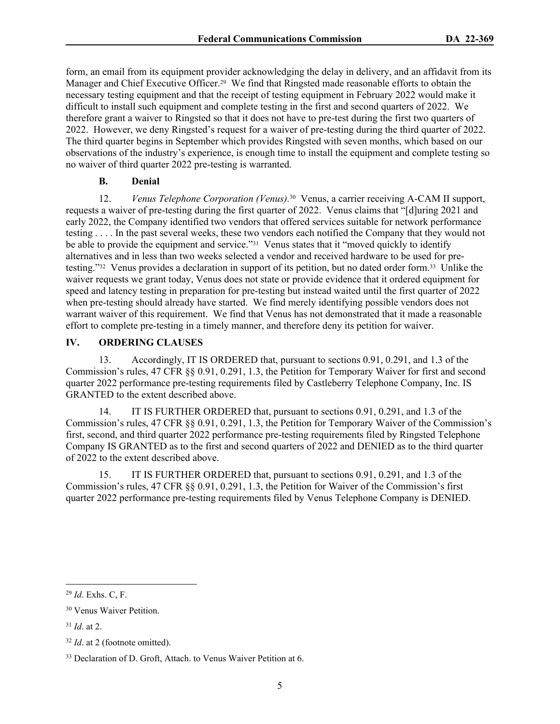form, an email from its equipment provider acknowledging the delay in delivery, and an affidavit from its Manager and Chief Executive Officer.29 We find that Ringsted made reasonable efforts to obtain the necessary testing equipment and that the receipt of testing equipment in February 2022 would make it difficult to install such equipment and complete testing in the first and second quarters of 2022. We therefore grant a waiver to Ringsted so that it does not have to pre-test during the first two quarters of 2022. However, we deny Ringsted's request for a waiver of pre-testing during the third quarter of 2022. The third quarter begins in September which provides Ringsted with seven months, which based on our observations of the industry's experience, is enough time to install the equipment and complete testing so no waiver of third quarter 2022 pre-testing is warranted.

# **B. Denial**

12. *Venus Telephone Corporation (Venus).*30 Venus, a carrier receiving A-CAM II support, requests a waiver of pre-testing during the first quarter of 2022. Venus claims that "[d]uring 2021 and early 2022, the Company identified two vendors that offered services suitable for network performance testing . . . . In the past several weeks, these two vendors each notified the Company that they would not be able to provide the equipment and service."<sup>31</sup> Venus states that it "moved quickly to identify alternatives and in less than two weeks selected a vendor and received hardware to be used for pretesting."32 Venus provides a declaration in support of its petition, but no dated order form.33 Unlike the waiver requests we grant today, Venus does not state or provide evidence that it ordered equipment for speed and latency testing in preparation for pre-testing but instead waited until the first quarter of 2022 when pre-testing should already have started. We find merely identifying possible vendors does not warrant waiver of this requirement. We find that Venus has not demonstrated that it made a reasonable effort to complete pre-testing in a timely manner, and therefore deny its petition for waiver.

## **IV. ORDERING CLAUSES**

13. Accordingly, IT IS ORDERED that, pursuant to sections 0.91, 0.291, and 1.3 of the Commission's rules, 47 CFR §§ 0.91, 0.291, 1.3, the Petition for Temporary Waiver for first and second quarter 2022 performance pre-testing requirements filed by Castleberry Telephone Company, Inc. IS GRANTED to the extent described above.

14. IT IS FURTHER ORDERED that, pursuant to sections 0.91, 0.291, and 1.3 of the Commission's rules, 47 CFR §§ 0.91, 0.291, 1.3, the Petition for Temporary Waiver of the Commission's first, second, and third quarter 2022 performance pre-testing requirements filed by Ringsted Telephone Company IS GRANTED as to the first and second quarters of 2022 and DENIED as to the third quarter of 2022 to the extent described above.

15. IT IS FURTHER ORDERED that, pursuant to sections 0.91, 0.291, and 1.3 of the Commission's rules, 47 CFR §§ 0.91, 0.291, 1.3, the Petition for Waiver of the Commission's first quarter 2022 performance pre-testing requirements filed by Venus Telephone Company is DENIED.

<sup>29</sup> *Id*. Exhs. C, F.

<sup>30</sup> Venus Waiver Petition.

<sup>31</sup> *Id*. at 2.

<sup>32</sup> *Id*. at 2 (footnote omitted).

<sup>33</sup> Declaration of D. Groft, Attach. to Venus Waiver Petition at 6.